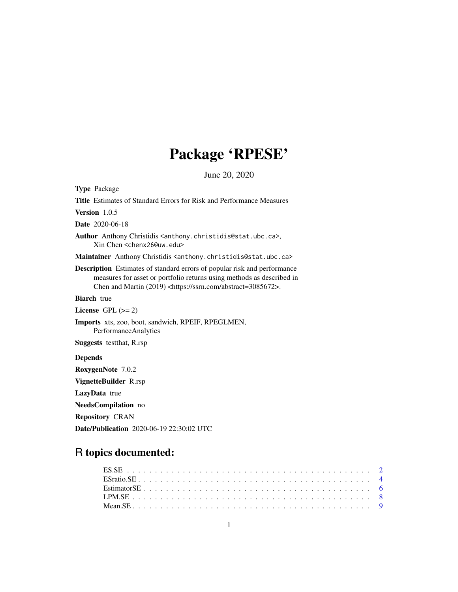# Package 'RPESE'

June 20, 2020

<span id="page-0-0"></span>Type Package Title Estimates of Standard Errors for Risk and Performance Measures Version 1.0.5 Date 2020-06-18 Author Anthony Christidis <anthony.christidis@stat.ubc.ca>, Xin Chen <chenx26@uw.edu> Maintainer Anthony Christidis <anthony.christidis@stat.ubc.ca> Description Estimates of standard errors of popular risk and performance measures for asset or portfolio returns using methods as described in Chen and Martin (2019) <https://ssrn.com/abstract=3085672>. **Biarch** true License GPL  $(>= 2)$ Imports xts, zoo, boot, sandwich, RPEIF, RPEGLMEN, PerformanceAnalytics Suggests testthat, R.rsp Depends RoxygenNote 7.0.2 VignetteBuilder R.rsp LazyData true NeedsCompilation no Repository CRAN

Date/Publication 2020-06-19 22:30:02 UTC

# R topics documented: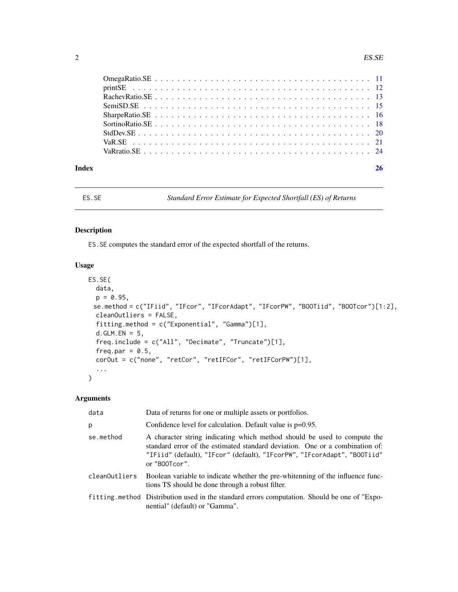<span id="page-1-0"></span>

| Index |  | 26 |
|-------|--|----|

# ES.SE *Standard Error Estimate for Expected Shortfall (ES) of Returns*

# Description

ES.SE computes the standard error of the expected shortfall of the returns.

# Usage

```
ES.SE(
 data,
 p = 0.95,
 se.method = c("IFiid", "IFcor", "IFcorAdapt", "IFcorPW", "BOOTiid", "BOOTcor")[1:2],
 cleanOutliers = FALSE,
 fitting.method = c("Exponential", "Gamma")[1],
 d.GLM.FN = 5,
 freq.include = c("All", "Decimate", "Truncate")[1],
  freq.par = 0.5,
 corOut = c("none", "retCor", "retIFCor", "retIFCorPW")[1],
  ...
\mathcal{L}
```

| data          | Data of returns for one or multiple assets or portfolios.                                                                                                                                                                                             |
|---------------|-------------------------------------------------------------------------------------------------------------------------------------------------------------------------------------------------------------------------------------------------------|
| p             | Confidence level for calculation. Default value is $p=0.95$ .                                                                                                                                                                                         |
| se.method     | A character string indicating which method should be used to compute the<br>standard error of the estimated standard deviation. One or a combination of:<br>"IFiid" (default), "IFcor" (default), "IFcorPW", "IFcorAdapt", "BOOTiid"<br>or "B00Tcor". |
| cleanOutliers | Boolean variable to indicate whether the pre-whitenning of the influence func-<br>tions TS should be done through a robust filter.                                                                                                                    |
|               | fitting method Distribution used in the standard errors computation. Should be one of "Expo-<br>nential" (default) or "Gamma".                                                                                                                        |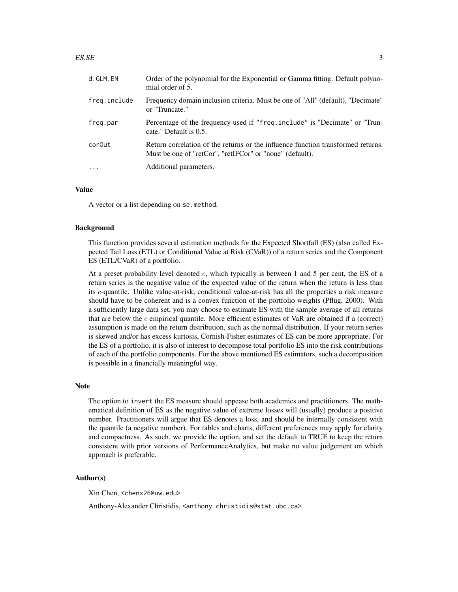#### $ESSE$  3

| d.GLM.EN     | Order of the polynomial for the Exponential or Gamma fitting. Default polyno-<br>mial order of 5.                                            |
|--------------|----------------------------------------------------------------------------------------------------------------------------------------------|
| freq.include | Frequency domain inclusion criteria. Must be one of "All" (default), "Decimate"<br>or "Truncate."                                            |
| freg.par     | Percentage of the frequency used if "freq.include" is "Decimate" or "Trun-<br>cate." Default is 0.5.                                         |
| cor0ut       | Return correlation of the returns or the influence function transformed returns.<br>Must be one of "retCor", "retIFCor" or "none" (default). |
| $\cdots$     | Additional parameters.                                                                                                                       |

# Value

A vector or a list depending on se.method.

#### Background

This function provides several estimation methods for the Expected Shortfall (ES) (also called Expected Tail Loss (ETL) or Conditional Value at Risk (CVaR)) of a return series and the Component ES (ETL/CVaR) of a portfolio.

At a preset probability level denoted  $c$ , which typically is between 1 and 5 per cent, the ES of a return series is the negative value of the expected value of the return when the return is less than its c-quantile. Unlike value-at-risk, conditional value-at-risk has all the properties a risk measure should have to be coherent and is a convex function of the portfolio weights (Pflug, 2000). With a sufficiently large data set, you may choose to estimate ES with the sample average of all returns that are below the  $c$  empirical quantile. More efficient estimates of VaR are obtained if a (correct) assumption is made on the return distribution, such as the normal distribution. If your return series is skewed and/or has excess kurtosis, Cornish-Fisher estimates of ES can be more appropriate. For the ES of a portfolio, it is also of interest to decompose total portfolio ES into the risk contributions of each of the portfolio components. For the above mentioned ES estimators, such a decomposition is possible in a financially meaningful way.

#### Note

The option to invert the ES measure should appease both academics and practitioners. The mathematical definition of ES as the negative value of extreme losses will (usually) produce a positive number. Practitioners will argue that ES denotes a loss, and should be internally consistent with the quantile (a negative number). For tables and charts, different preferences may apply for clarity and compactness. As such, we provide the option, and set the default to TRUE to keep the return consistent with prior versions of PerformanceAnalytics, but make no value judgement on which approach is preferable.

#### Author(s)

Xin Chen, <chenx26@uw.edu>

Anthony-Alexander Christidis, <anthony.christidis@stat.ubc.ca>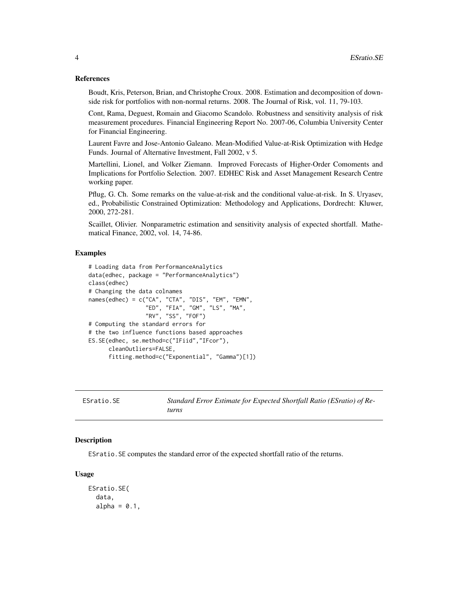#### <span id="page-3-0"></span>References

Boudt, Kris, Peterson, Brian, and Christophe Croux. 2008. Estimation and decomposition of downside risk for portfolios with non-normal returns. 2008. The Journal of Risk, vol. 11, 79-103.

Cont, Rama, Deguest, Romain and Giacomo Scandolo. Robustness and sensitivity analysis of risk measurement procedures. Financial Engineering Report No. 2007-06, Columbia University Center for Financial Engineering.

Laurent Favre and Jose-Antonio Galeano. Mean-Modified Value-at-Risk Optimization with Hedge Funds. Journal of Alternative Investment, Fall 2002, v 5.

Martellini, Lionel, and Volker Ziemann. Improved Forecasts of Higher-Order Comoments and Implications for Portfolio Selection. 2007. EDHEC Risk and Asset Management Research Centre working paper.

Pflug, G. Ch. Some remarks on the value-at-risk and the conditional value-at-risk. In S. Uryasev, ed., Probabilistic Constrained Optimization: Methodology and Applications, Dordrecht: Kluwer, 2000, 272-281.

Scaillet, Olivier. Nonparametric estimation and sensitivity analysis of expected shortfall. Mathematical Finance, 2002, vol. 14, 74-86.

#### Examples

```
# Loading data from PerformanceAnalytics
data(edhec, package = "PerformanceAnalytics")
class(edhec)
# Changing the data colnames
names(edhec) = c("CA", "CTA", "DIS", "EM", "EMN",
                 "ED", "FIA", "GM", "LS", "MA",
                 "RV", "SS", "FOF")
# Computing the standard errors for
# the two influence functions based approaches
ES.SE(edhec, se.method=c("IFiid","IFcor"),
     cleanOutliers=FALSE,
      fitting.method=c("Exponential", "Gamma")[1])
```

| ESratio.SE | Standard Error Estimate for Expected Shortfall Ratio (ESratio) of Re- |
|------------|-----------------------------------------------------------------------|
|            | turns                                                                 |

#### Description

ESratio.SE computes the standard error of the expected shortfall ratio of the returns.

#### Usage

```
ESratio.SE(
  data,
  alpha = 0.1,
```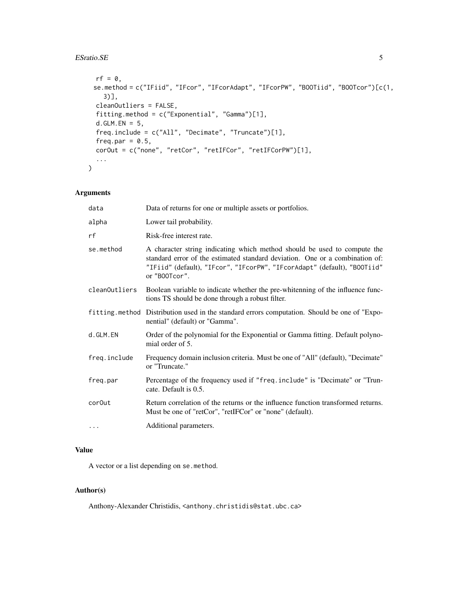## ESTatio.SE 5

```
rf = 0,
 se.method = c("IFiid", "IFcor", "IFcorAdapt", "IFcorPW", "BOOTiid", "BOOTcor")[c(1,
   3)],
 cleanOutliers = FALSE,
  fitting.method = c("Exponential", "Gamma")[1],
 d.GLM.EN = 5,
  freq.include = c("All", "Decimate", "Truncate")[1],
  freq.par = 0.5,
 corOut = c("none", "retCor", "retIFCor", "retIFCorPW")[1],
  ...
\mathcal{L}
```
# Arguments

| data               | Data of returns for one or multiple assets or portfolios.                                                                                                                                                                                             |
|--------------------|-------------------------------------------------------------------------------------------------------------------------------------------------------------------------------------------------------------------------------------------------------|
| alpha              | Lower tail probability.                                                                                                                                                                                                                               |
| rf                 | Risk-free interest rate.                                                                                                                                                                                                                              |
| se.method          | A character string indicating which method should be used to compute the<br>standard error of the estimated standard deviation. One or a combination of:<br>"IFiid" (default), "IFcor", "IFcorPW", "IFcorAdapt" (default), "BOOTiid"<br>or "B00Tcor". |
| cleanOutliers      | Boolean variable to indicate whether the pre-whitenning of the influence func-<br>tions TS should be done through a robust filter.                                                                                                                    |
|                    | fitting.method Distribution used in the standard errors computation. Should be one of "Expo-<br>nential" (default) or "Gamma".                                                                                                                        |
| d.GLM.EN           | Order of the polynomial for the Exponential or Gamma fitting. Default polyno-<br>mial order of 5.                                                                                                                                                     |
| freq.include       | Frequency domain inclusion criteria. Must be one of "All" (default), "Decimate"<br>or "Truncate."                                                                                                                                                     |
| freq.par           | Percentage of the frequency used if "freq.include" is "Decimate" or "Trun-<br>cate. Default is 0.5.                                                                                                                                                   |
| cor <sub>Out</sub> | Return correlation of the returns or the influence function transformed returns.<br>Must be one of "retCor", "retIFCor" or "none" (default).                                                                                                          |
| $\cdots$           | Additional parameters.                                                                                                                                                                                                                                |

# Value

A vector or a list depending on se.method.

# Author(s)

Anthony-Alexander Christidis, <anthony.christidis@stat.ubc.ca>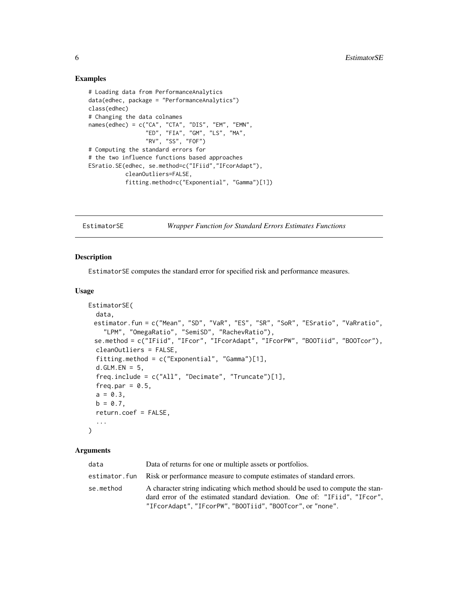## Examples

```
# Loading data from PerformanceAnalytics
data(edhec, package = "PerformanceAnalytics")
class(edhec)
# Changing the data colnames
names(edhec) = c("CA", "CTA", "DIS", "EM", "EMN",
                 "ED", "FIA", "GM", "LS", "MA",
                 "RV", "SS", "FOF")
# Computing the standard errors for
# the two influence functions based approaches
ESratio.SE(edhec, se.method=c("IFiid","IFcorAdapt"),
           cleanOutliers=FALSE,
           fitting.method=c("Exponential", "Gamma")[1])
```
EstimatorSE *Wrapper Function for Standard Errors Estimates Functions*

#### Description

EstimatorSE computes the standard error for specified risk and performance measures.

# Usage

```
EstimatorSE(
  data,
 estimator.fun = c("Mean", "SD", "VaR", "ES", "SR", "SoR", "ESratio", "VaRratio",
    "LPM", "OmegaRatio", "SemiSD", "RachevRatio"),
  se.method = c("IFiid", "IFcor", "IFcorAdapt", "IFcorPW", "BOOTiid", "BOOTcor"),
  cleanOutliers = FALSE,
  fitting.method = c("Exponential", "Gamma")[1],
  d.GLM.EN = 5,
  freq.include = c("All", "Decimate", "Truncate")[1],
  freq.par = 0.5,
  a = 0.3,
 b = 0.7,
  return.coef = FALSE,
  ...
)
```

| data      | Data of returns for one or multiple assets or portfolios.                                                                                                                                                                |
|-----------|--------------------------------------------------------------------------------------------------------------------------------------------------------------------------------------------------------------------------|
|           | estimator. fun Risk or performance measure to compute estimates of standard errors.                                                                                                                                      |
| se.method | A character string indicating which method should be used to compute the stan-<br>dard error of the estimated standard deviation. One of: "IFild", "IFcor".<br>"IFcorAdapt", "IFcorPW", "BOOTiid", "BOOTcor", or "none". |

<span id="page-5-0"></span>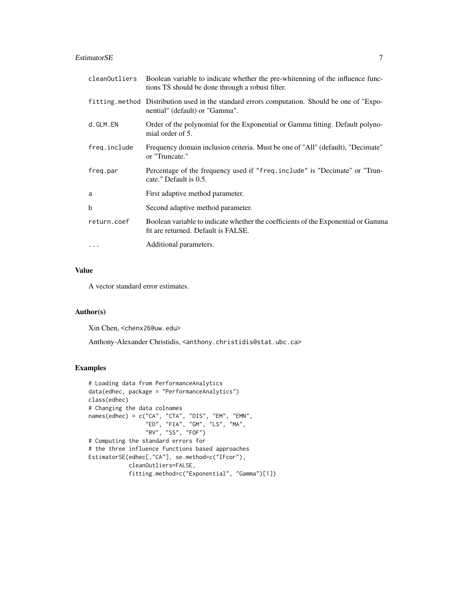# EstimatorSE 7

| cleanOutliers | Boolean variable to indicate whether the pre-whitenning of the influence func-<br>tions TS should be done through a robust filter. |
|---------------|------------------------------------------------------------------------------------------------------------------------------------|
|               | fitting method Distribution used in the standard errors computation. Should be one of "Expo-<br>nential" (default) or "Gamma".     |
| d.GLM.EN      | Order of the polynomial for the Exponential or Gamma fitting. Default polyno-<br>mial order of 5.                                  |
| freq.include  | Frequency domain inclusion criteria. Must be one of "All" (default), "Decimate"<br>or "Truncate."                                  |
| freg.par      | Percentage of the frequency used if "freq.include" is "Decimate" or "Trun-<br>cate." Default is 0.5.                               |
| a             | First adaptive method parameter.                                                                                                   |
| b             | Second adaptive method parameter.                                                                                                  |
| return.coef   | Boolean variable to indicate whether the coefficients of the Exponential or Gamma<br>fit are returned. Default is FALSE.           |
| $\ddots$      | Additional parameters.                                                                                                             |

# Value

A vector standard error estimates.

# Author(s)

Xin Chen, <chenx26@uw.edu>

Anthony-Alexander Christidis, <anthony.christidis@stat.ubc.ca>

```
# Loading data from PerformanceAnalytics
data(edhec, package = "PerformanceAnalytics")
class(edhec)
# Changing the data colnames
names(edhec) = c("CA", "CTA", "DIS", "EM", "EMN",
                 "ED", "FIA", "GM", "LS", "MA",
                 "RV", "SS", "FOF")
# Computing the standard errors for
# the three influence functions based approaches
EstimatorSE(edhec[,"CA"], se.method=c("IFcor"),
            cleanOutliers=FALSE,
            fitting.method=c("Exponential", "Gamma")[1])
```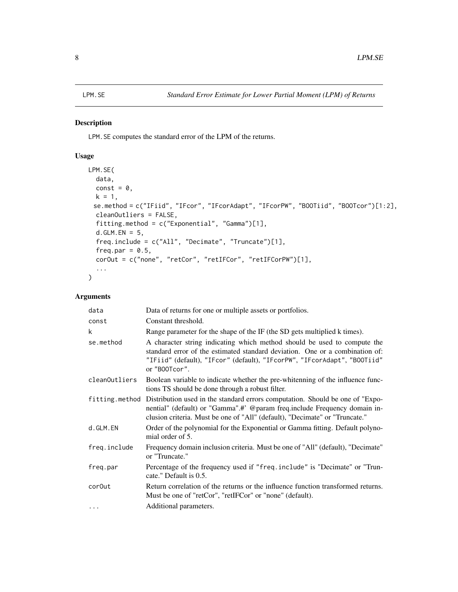# <span id="page-7-0"></span>Description

LPM.SE computes the standard error of the LPM of the returns.

# Usage

```
LPM.SE(
  data,
  const = \theta,
  k = 1,
 se.method = c("IFiid", "IFcor", "IFcorAdapt", "IFcorPW", "BOOTiid", "BOOTcor")[1:2],
  cleanOutliers = FALSE,
  fitting.method = c("Exponential", "Gamma")[1],
  d.GLM.EN = 5,
  freq.include = c("All", "Decimate", "Truncate")[1],
  freq.par = 0.5,
  corOut = c("none", "retCor", "retIFCor", "retIFCorPW")[1],
  ...
\mathcal{L}
```

| data          | Data of returns for one or multiple assets or portfolios.                                                                                                                                                                                                 |
|---------------|-----------------------------------------------------------------------------------------------------------------------------------------------------------------------------------------------------------------------------------------------------------|
| const         | Constant threshold.                                                                                                                                                                                                                                       |
| k             | Range parameter for the shape of the IF (the SD gets multiplied k times).                                                                                                                                                                                 |
| se.method     | A character string indicating which method should be used to compute the<br>standard error of the estimated standard deviation. One or a combination of:<br>"IFiid" (default), "IFcor" (default), "IFcorPW", "IFcorAdapt", "BOOTiid"<br>or "B00Tcor".     |
| cleanOutliers | Boolean variable to indicate whether the pre-whitenning of the influence func-<br>tions TS should be done through a robust filter.                                                                                                                        |
|               | fitting. method Distribution used in the standard errors computation. Should be one of "Expo-<br>nential" (default) or "Gamma".#' @param freq.include Frequency domain in-<br>clusion criteria. Must be one of "All" (default), "Decimate" or "Truncate." |
| d.GLM.EN      | Order of the polynomial for the Exponential or Gamma fitting. Default polyno-<br>mial order of 5.                                                                                                                                                         |
| freq.include  | Frequency domain inclusion criteria. Must be one of "All" (default), "Decimate"<br>or "Truncate."                                                                                                                                                         |
| freg.par      | Percentage of the frequency used if "freq.include" is "Decimate" or "Trun-<br>cate." Default is 0.5.                                                                                                                                                      |
| cor0ut        | Return correlation of the returns or the influence function transformed returns.<br>Must be one of "retCor", "retIFCor" or "none" (default).                                                                                                              |
| $\cdots$      | Additional parameters.                                                                                                                                                                                                                                    |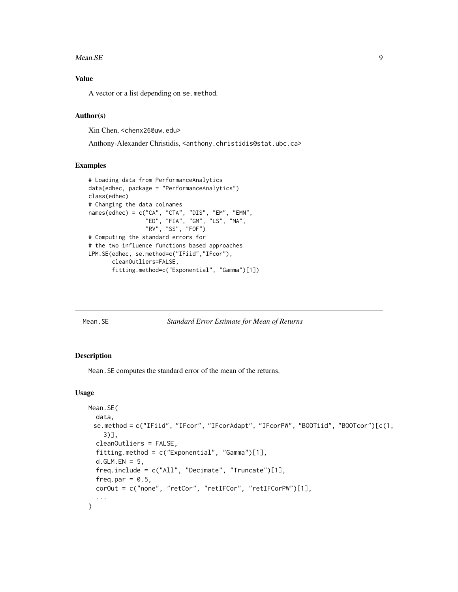#### <span id="page-8-0"></span>Mean.SE 9

# Value

A vector or a list depending on se.method.

# Author(s)

Xin Chen, <chenx26@uw.edu>

Anthony-Alexander Christidis, <anthony.christidis@stat.ubc.ca>

#### Examples

```
# Loading data from PerformanceAnalytics
data(edhec, package = "PerformanceAnalytics")
class(edhec)
# Changing the data colnames
names(edhec) = c("CA", "CTA", "DIS", "EM", "EMN",
                 "ED", "FIA", "GM", "LS", "MA",
                 "RV", "SS", "FOF")
# Computing the standard errors for
# the two influence functions based approaches
LPM.SE(edhec, se.method=c("IFiid","IFcor"),
       cleanOutliers=FALSE,
       fitting.method=c("Exponential", "Gamma")[1])
```
Mean.SE *Standard Error Estimate for Mean of Returns*

#### Description

Mean.SE computes the standard error of the mean of the returns.

#### Usage

```
Mean.SE(
  data,
 se.method = c("IFiid", "IFcor", "IFcorAdapt", "IFcorPW", "BOOTiid", "BOOTcor")[c(1,
    3)],
  cleanOutliers = FALSE,
  fitting.method = c("Exponential", "Gamma")[1],
  d.GLM.EN = 5,
  freq.include = c("All", "Decimate", "Truncate")[1],
  freq.par = 0.5,
 corOut = c("none", "retCor", "retIFCor", "retIFCorPW")[1],
  ...
)
```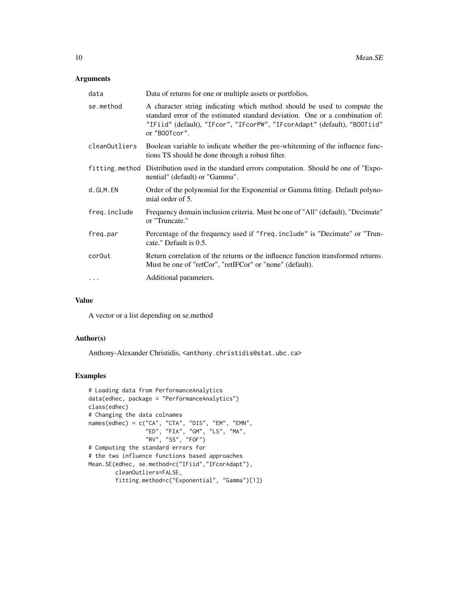# Arguments

| data          | Data of returns for one or multiple assets or portfolios.                                                                                                                                                                                             |
|---------------|-------------------------------------------------------------------------------------------------------------------------------------------------------------------------------------------------------------------------------------------------------|
| se.method     | A character string indicating which method should be used to compute the<br>standard error of the estimated standard deviation. One or a combination of:<br>"IFiid" (default), "IFcor", "IFcorPW", "IFcorAdapt" (default), "BOOTiid"<br>or "B00Tcor". |
| cleanOutliers | Boolean variable to indicate whether the pre-whitenning of the influence func-<br>tions TS should be done through a robust filter.                                                                                                                    |
|               | fitting method Distribution used in the standard errors computation. Should be one of "Expo-<br>nential" (default) or "Gamma".                                                                                                                        |
| d.GLM.EN      | Order of the polynomial for the Exponential or Gamma fitting. Default polyno-<br>mial order of 5.                                                                                                                                                     |
| freq.include  | Frequency domain inclusion criteria. Must be one of "All" (default), "Decimate"<br>or "Truncate."                                                                                                                                                     |
| freg.par      | Percentage of the frequency used if "freq.include" is "Decimate" or "Trun-<br>cate." Default is 0.5.                                                                                                                                                  |
| cor0ut        | Return correlation of the returns or the influence function transformed returns.<br>Must be one of "retCor", "retIFCor" or "none" (default).                                                                                                          |
| $\cdot$       | Additional parameters.                                                                                                                                                                                                                                |

# Value

A vector or a list depending on se.method

# Author(s)

Anthony-Alexander Christidis, <anthony.christidis@stat.ubc.ca>

```
# Loading data from PerformanceAnalytics
data(edhec, package = "PerformanceAnalytics")
class(edhec)
# Changing the data colnames
names(edhec) = c("CA", "CTA", "DIS", "EM", "EMN",
                 "ED", "FIA", "GM", "LS", "MA",
                 "RV", "SS", "FOF")
# Computing the standard errors for
# the two influence functions based approaches
Mean.SE(edhec, se.method=c("IFiid","IFcorAdapt"),
       cleanOutliers=FALSE,
        fitting.method=c("Exponential", "Gamma")[1])
```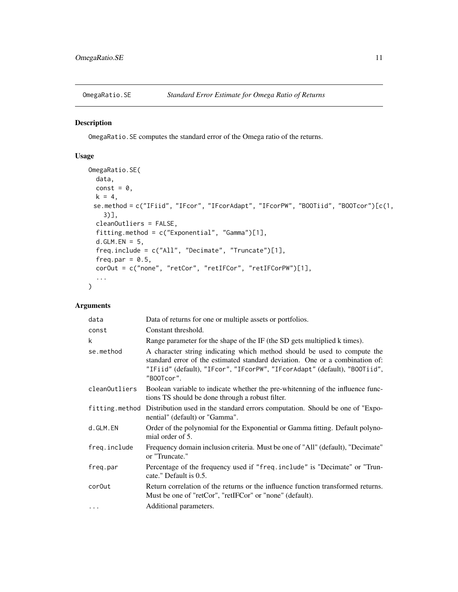<span id="page-10-0"></span>

# Description

OmegaRatio.SE computes the standard error of the Omega ratio of the returns.

# Usage

```
OmegaRatio.SE(
  data,
 const = 0,
 k = 4,
 se.method = c("IFiid", "IFcor", "IFcorAdapt", "IFcorPW", "BOOTiid", "BOOTcor")[c(1,
    3)],
 cleanOutliers = FALSE,
  fitting.method = c("Exponential", "Gamma")[1],
 d.GLM.EN = 5,
  freq.include = c("All", "Decimate", "Truncate")[1],
  freq.par = 0.5,
 corOut = c("none", "retCor", "retIFCor", "retIFCorPW")[1],
  ...
)
```

| data          | Data of returns for one or multiple assets or portfolios.                                                                                                                                                                                           |
|---------------|-----------------------------------------------------------------------------------------------------------------------------------------------------------------------------------------------------------------------------------------------------|
| const         | Constant threshold.                                                                                                                                                                                                                                 |
| k             | Range parameter for the shape of the IF (the SD gets multiplied k times).                                                                                                                                                                           |
| se.method     | A character string indicating which method should be used to compute the<br>standard error of the estimated standard deviation. One or a combination of:<br>"IFiid" (default), "IFcor", "IFcorPW", "IFcorAdapt" (default), "BOOTiid",<br>"B00Tcor". |
| cleanOutliers | Boolean variable to indicate whether the pre-whitenning of the influence func-<br>tions TS should be done through a robust filter.                                                                                                                  |
|               | fitting method Distribution used in the standard errors computation. Should be one of "Expo-<br>nential" (default) or "Gamma".                                                                                                                      |
| d.GLM.EN      | Order of the polynomial for the Exponential or Gamma fitting. Default polyno-<br>mial order of 5.                                                                                                                                                   |
| freq.include  | Frequency domain inclusion criteria. Must be one of "All" (default), "Decimate"<br>or "Truncate."                                                                                                                                                   |
| freg.par      | Percentage of the frequency used if "freq.include" is "Decimate" or "Trun-<br>cate." Default is 0.5.                                                                                                                                                |
| cor0ut        | Return correlation of the returns or the influence function transformed returns.<br>Must be one of "retCor", "retIFCor" or "none" (default).                                                                                                        |
| $\cdots$      | Additional parameters.                                                                                                                                                                                                                              |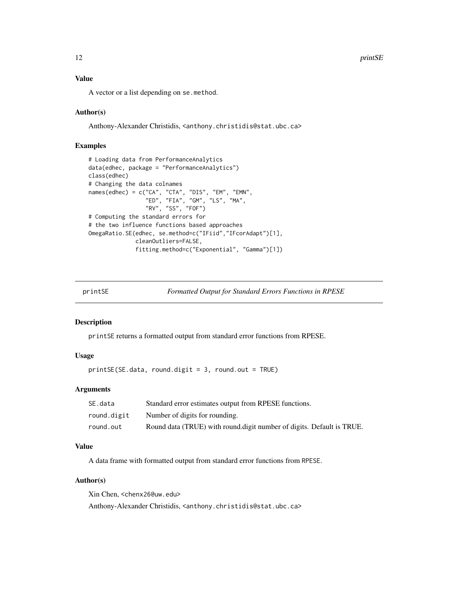# <span id="page-11-0"></span>Value

A vector or a list depending on se.method.

# Author(s)

Anthony-Alexander Christidis, <anthony.christidis@stat.ubc.ca>

# Examples

```
# Loading data from PerformanceAnalytics
data(edhec, package = "PerformanceAnalytics")
class(edhec)
# Changing the data colnames
names(edhec) = c("CA", "CTA", "DIS", "EM", "EMN",
                 "ED", "FIA", "GM", "LS", "MA",
                 "RV", "SS", "FOF")
# Computing the standard errors for
# the two influence functions based approaches
OmegaRatio.SE(edhec, se.method=c("IFiid","IFcorAdapt")[1],
              cleanOutliers=FALSE,
              fitting.method=c("Exponential", "Gamma")[1])
```
printSE *Formatted Output for Standard Errors Functions in RPESE*

### Description

printSE returns a formatted output from standard error functions from RPESE.

# Usage

printSE(SE.data, round.digit = 3, round.out = TRUE)

# Arguments

| SE.data     | Standard error estimates output from RPESE functions.                 |
|-------------|-----------------------------------------------------------------------|
| round.digit | Number of digits for rounding.                                        |
| round.out   | Round data (TRUE) with round digit number of digits. Default is TRUE. |

# Value

A data frame with formatted output from standard error functions from RPESE.

# Author(s)

Xin Chen, <chenx26@uw.edu> Anthony-Alexander Christidis, <anthony.christidis@stat.ubc.ca>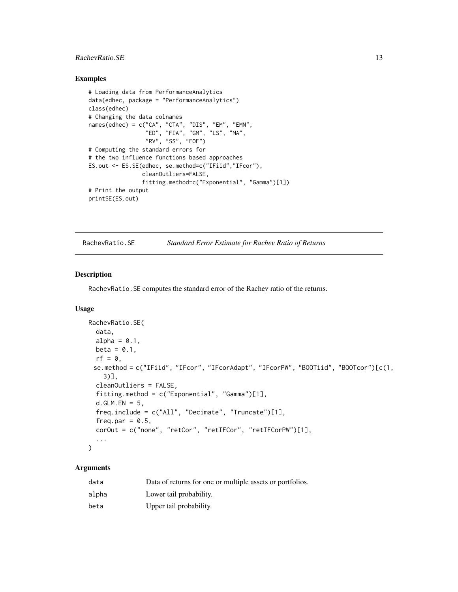# <span id="page-12-0"></span>RachevRatio.SE 13

## Examples

```
# Loading data from PerformanceAnalytics
data(edhec, package = "PerformanceAnalytics")
class(edhec)
# Changing the data colnames
names(edhec) = c("CA", "CTA", "DIS", "EM", "EMN",
                 "ED", "FIA", "GM", "LS", "MA",
                 "RV", "SS", "FOF")
# Computing the standard errors for
# the two influence functions based approaches
ES.out <- ES.SE(edhec, se.method=c("IFiid","IFcor"),
                cleanOutliers=FALSE,
                fitting.method=c("Exponential", "Gamma")[1])
# Print the output
printSE(ES.out)
```
RachevRatio.SE *Standard Error Estimate for Rachev Ratio of Returns*

#### Description

RachevRatio.SE computes the standard error of the Rachev ratio of the returns.

# Usage

```
RachevRatio.SE(
  data,
  alpha = 0.1,
 beta = 0.1,
 rf = 0,
 se.method = c("IFiid", "IFcor", "IFcorAdapt", "IFcorPW", "BOOTiid", "BOOTcor")[c(1,
    3)],
 cleanOutliers = FALSE,
  fitting.method = c("Exponential", "Gamma")[1],
 d.GLM.FN = 5,
  freq.include = c("All", "Decimate", "Truncate")[1],
  freq.par = 0.5,
  corOut = c("none", "retCor", "retIFCor", "retIFCorPW")[1],
  ...
)
```

| data  | Data of returns for one or multiple assets or portfolios. |
|-------|-----------------------------------------------------------|
| alpha | Lower tail probability.                                   |
| beta  | Upper tail probability.                                   |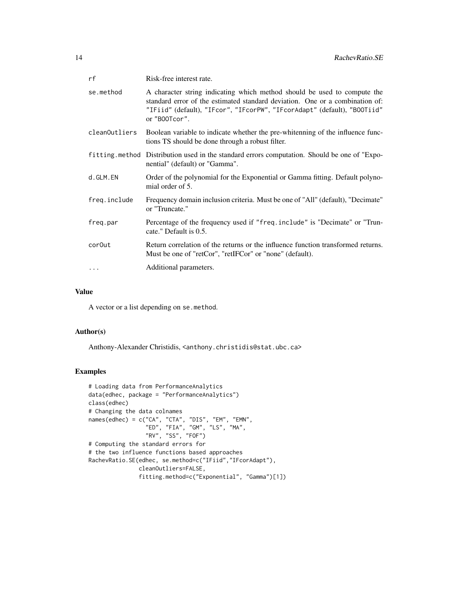| rf            | Risk-free interest rate.                                                                                                                                                                                                                              |
|---------------|-------------------------------------------------------------------------------------------------------------------------------------------------------------------------------------------------------------------------------------------------------|
| se.method     | A character string indicating which method should be used to compute the<br>standard error of the estimated standard deviation. One or a combination of:<br>"IFiid" (default), "IFcor", "IFcorPW", "IFcorAdapt" (default), "BOOTiid"<br>or "B00Tcor". |
| cleanOutliers | Boolean variable to indicate whether the pre-whitenning of the influence func-<br>tions TS should be done through a robust filter.                                                                                                                    |
|               | fitting method Distribution used in the standard errors computation. Should be one of "Expo-<br>nential" (default) or "Gamma".                                                                                                                        |
| d.GLM.EN      | Order of the polynomial for the Exponential or Gamma fitting. Default polyno-<br>mial order of 5.                                                                                                                                                     |
| freq.include  | Frequency domain inclusion criteria. Must be one of "All" (default), "Decimate"<br>or "Truncate."                                                                                                                                                     |
| freg.par      | Percentage of the frequency used if "freq.include" is "Decimate" or "Trun-<br>cate." Default is 0.5.                                                                                                                                                  |
| cor0ut        | Return correlation of the returns or the influence function transformed returns.<br>Must be one of "retCor", "retIFCor" or "none" (default).                                                                                                          |
| $\cdots$      | Additional parameters.                                                                                                                                                                                                                                |

# Value

A vector or a list depending on se.method.

#### Author(s)

Anthony-Alexander Christidis, <anthony.christidis@stat.ubc.ca>

```
# Loading data from PerformanceAnalytics
data(edhec, package = "PerformanceAnalytics")
class(edhec)
# Changing the data colnames
names(edhec) = c("CA", "CTA", "DIS", "EM", "EMN",
                 "ED", "FIA", "GM", "LS", "MA",
                 "RV", "SS", "FOF")
# Computing the standard errors for
# the two influence functions based approaches
RachevRatio.SE(edhec, se.method=c("IFiid","IFcorAdapt"),
               cleanOutliers=FALSE,
               fitting.method=c("Exponential", "Gamma")[1])
```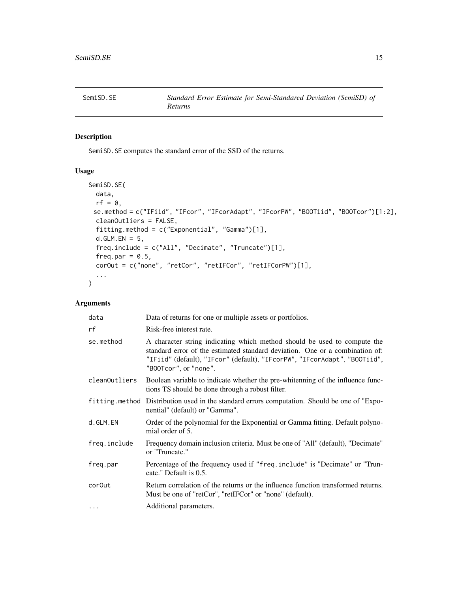<span id="page-14-0"></span>

# Description

SemiSD.SE computes the standard error of the SSD of the returns.

#### Usage

```
SemiSD.SE(
 data,
 rf = 0,
 se.method = c("IFiid", "IFcor", "IFcorAdapt", "IFcorPW", "BOOTiid", "BOOTcor")[1:2],
 cleanOutliers = FALSE,
 fitting.method = c("Exponential", "Gamma")[1],
 d.GLM.FN = 5,
 freq.include = c("All", "Decimate", "Truncate")[1],
  freq.par = 0.5,
 corOut = c("none", "retCor", "retIFCor", "retIFCorPW")[1],
  ...
)
```

| data          | Data of returns for one or multiple assets or portfolios.                                                                                                                                                                                                      |
|---------------|----------------------------------------------------------------------------------------------------------------------------------------------------------------------------------------------------------------------------------------------------------------|
| rf            | Risk-free interest rate.                                                                                                                                                                                                                                       |
| se.method     | A character string indicating which method should be used to compute the<br>standard error of the estimated standard deviation. One or a combination of:<br>"IFiid" (default), "IFcor" (default), "IFcorPW", "IFcorAdapt", "BOOTiid",<br>"B00Tcor", or "none". |
| cleanOutliers | Boolean variable to indicate whether the pre-whitenning of the influence func-<br>tions TS should be done through a robust filter.                                                                                                                             |
|               | fitting method Distribution used in the standard errors computation. Should be one of "Expo-<br>nential" (default) or "Gamma".                                                                                                                                 |
| d.GLM.EN      | Order of the polynomial for the Exponential or Gamma fitting. Default polyno-<br>mial order of 5.                                                                                                                                                              |
| freq.include  | Frequency domain inclusion criteria. Must be one of "All" (default), "Decimate"<br>or "Truncate."                                                                                                                                                              |
| freg.par      | Percentage of the frequency used if "freq.include" is "Decimate" or "Trun-<br>cate." Default is 0.5.                                                                                                                                                           |
| cor0ut        | Return correlation of the returns or the influence function transformed returns.<br>Must be one of "retCor", "retIFCor" or "none" (default).                                                                                                                   |
| $\cdot$       | Additional parameters.                                                                                                                                                                                                                                         |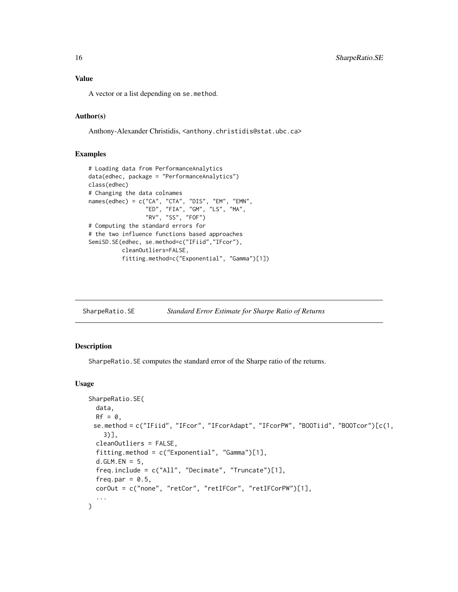<span id="page-15-0"></span>A vector or a list depending on se.method.

### Author(s)

Anthony-Alexander Christidis, <anthony.christidis@stat.ubc.ca>

#### Examples

```
# Loading data from PerformanceAnalytics
data(edhec, package = "PerformanceAnalytics")
class(edhec)
# Changing the data colnames
names(edhec) = c("CA", "CTA", "DIS", "EM", "EMN",
                 "ED", "FIA", "GM", "LS", "MA",
                 "RV", "SS", "FOF")
# Computing the standard errors for
# the two influence functions based approaches
SemiSD.SE(edhec, se.method=c("IFiid","IFcor"),
          cleanOutliers=FALSE,
          fitting.method=c("Exponential", "Gamma")[1])
```
SharpeRatio.SE *Standard Error Estimate for Sharpe Ratio of Returns*

#### Description

SharpeRatio.SE computes the standard error of the Sharpe ratio of the returns.

#### Usage

```
SharpeRatio.SE(
 data,
 Rf = 0,
 se.method = c("IFiid", "IFcor", "IFcorAdapt", "IFcorPW", "BOOTiid", "BOOTcor")[c(1,
    3)],
  cleanOutliers = FALSE,
  fitting.method = c("Exponential", "Gamma")[1],
  d.GLM.EN = 5,
  freq.include = c("All", "Decimate", "Truncate")[1],
  freq.par = 0.5,
 corOut = c("none", "retCor", "retIFCor", "retIFCorPW")[1],
  ...
)
```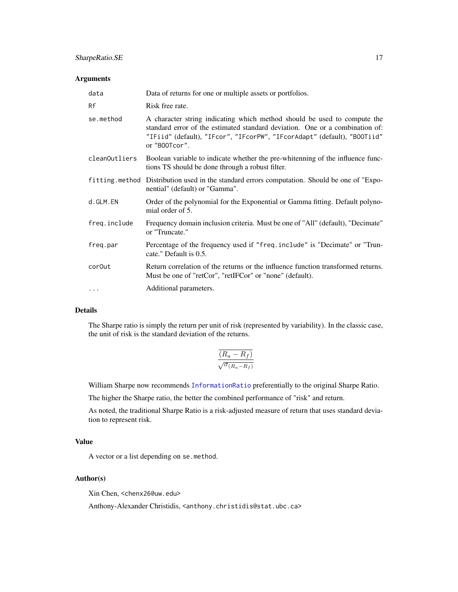# <span id="page-16-0"></span>SharpeRatio.SE 17

### Arguments

| data          | Data of returns for one or multiple assets or portfolios.                                                                                                                                                                                             |
|---------------|-------------------------------------------------------------------------------------------------------------------------------------------------------------------------------------------------------------------------------------------------------|
| Rf            | Risk free rate.                                                                                                                                                                                                                                       |
| se.method     | A character string indicating which method should be used to compute the<br>standard error of the estimated standard deviation. One or a combination of:<br>"IFiid" (default), "IFcor", "IFcorPW", "IFcorAdapt" (default), "BOOTiid"<br>or "B00Tcor". |
| cleanOutliers | Boolean variable to indicate whether the pre-whitenning of the influence func-<br>tions TS should be done through a robust filter.                                                                                                                    |
|               | fitting method Distribution used in the standard errors computation. Should be one of "Expo-<br>nential" (default) or "Gamma".                                                                                                                        |
| d.GLM.EN      | Order of the polynomial for the Exponential or Gamma fitting. Default polyno-<br>mial order of 5.                                                                                                                                                     |
| freq.include  | Frequency domain inclusion criteria. Must be one of "All" (default), "Decimate"<br>or "Truncate."                                                                                                                                                     |
| freq.par      | Percentage of the frequency used if "freq.include" is "Decimate" or "Trun-<br>cate." Default is 0.5.                                                                                                                                                  |
| cor0ut        | Return correlation of the returns or the influence function transformed returns.<br>Must be one of "retCor", "retIFCor" or "none" (default).                                                                                                          |
| $\cdots$      | Additional parameters.                                                                                                                                                                                                                                |

# Details

The Sharpe ratio is simply the return per unit of risk (represented by variability). In the classic case, the unit of risk is the standard deviation of the returns.

$$
\frac{\overline{(R_a - R_f)}}{\sqrt{\sigma_{(R_a - R_f)}}}
$$

William Sharpe now recommends [InformationRatio](#page-0-0) preferentially to the original Sharpe Ratio.

The higher the Sharpe ratio, the better the combined performance of "risk" and return.

As noted, the traditional Sharpe Ratio is a risk-adjusted measure of return that uses standard deviation to represent risk.

# Value

A vector or a list depending on se.method.

# Author(s)

Xin Chen, <chenx26@uw.edu>

Anthony-Alexander Christidis, <anthony.christidis@stat.ubc.ca>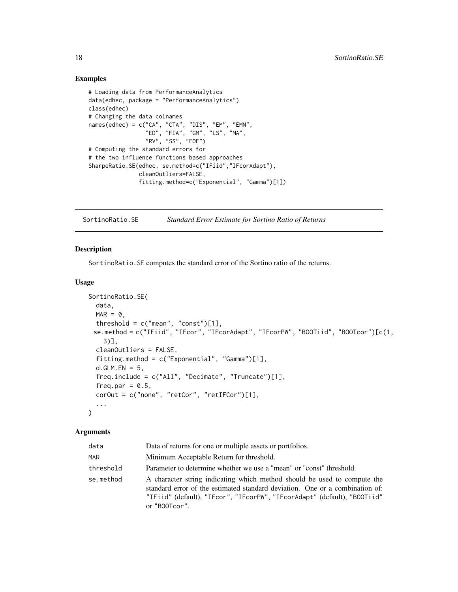# Examples

```
# Loading data from PerformanceAnalytics
data(edhec, package = "PerformanceAnalytics")
class(edhec)
# Changing the data colnames
names(edhec) = c("CA", "CTA", "DIS", "EM", "EMN",
                 "ED", "FIA", "GM", "LS", "MA",
                 "RV", "SS", "FOF")
# Computing the standard errors for
# the two influence functions based approaches
SharpeRatio.SE(edhec, se.method=c("IFiid","IFcorAdapt"),
               cleanOutliers=FALSE,
               fitting.method=c("Exponential", "Gamma")[1])
```
SortinoRatio.SE *Standard Error Estimate for Sortino Ratio of Returns*

#### Description

SortinoRatio.SE computes the standard error of the Sortino ratio of the returns.

# Usage

```
SortinoRatio.SE(
  data,
 MAR = 0,
  threshold = c("mean", "const")[1],se.method = c("IFiid", "IFcor", "IFcorAdapt", "IFcorPW", "BOOTiid", "BOOTcor")[c(1,
    3)],
  cleanOutliers = FALSE,
  fitting.method = c("Exponential", "Gamma")[1],
  d.GLM.EN = 5,
  freq.include = c("All", "Decimate", "Truncate")[1],
  freq.par = 0.5,
  corOut = c("none", "retCor", "retIFCor")[1],
  ...
\mathcal{L}
```

| data      | Data of returns for one or multiple assets or portfolios.                                                                                                                                                                                             |
|-----------|-------------------------------------------------------------------------------------------------------------------------------------------------------------------------------------------------------------------------------------------------------|
| MAR       | Minimum Acceptable Return for threshold.                                                                                                                                                                                                              |
| threshold | Parameter to determine whether we use a "mean" or "const" threshold.                                                                                                                                                                                  |
| se.method | A character string indicating which method should be used to compute the<br>standard error of the estimated standard deviation. One or a combination of:<br>"IFiid" (default), "IFcor", "IFcorPW", "IFcorAdapt" (default), "BOOTiid"<br>or "B00Tcor". |

<span id="page-17-0"></span>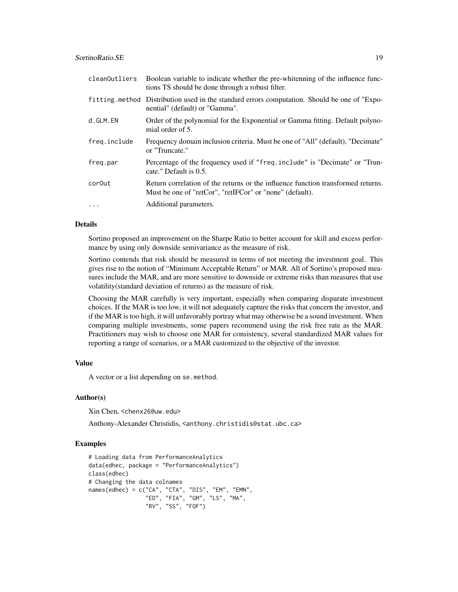| cleanOutliers | Boolean variable to indicate whether the pre-whitenning of the influence func-<br>tions TS should be done through a robust filter.           |
|---------------|----------------------------------------------------------------------------------------------------------------------------------------------|
|               | fitting method Distribution used in the standard errors computation. Should be one of "Expo-<br>nential" (default) or "Gamma".               |
| d.GLM.EN      | Order of the polynomial for the Exponential or Gamma fitting. Default polyno-<br>mial order of 5.                                            |
| freq.include  | Frequency domain inclusion criteria. Must be one of "All" (default), "Decimate"<br>or "Truncate."                                            |
| freg.par      | Percentage of the frequency used if "freq.include" is "Decimate" or "Trun-<br>cate." Default is 0.5.                                         |
| cor0ut        | Return correlation of the returns or the influence function transformed returns.<br>Must be one of "retCor", "retIFCor" or "none" (default). |
| $\ddots$ .    | Additional parameters.                                                                                                                       |

#### Details

Sortino proposed an improvement on the Sharpe Ratio to better account for skill and excess performance by using only downside semivariance as the measure of risk.

Sortino contends that risk should be measured in terms of not meeting the investment goal. This gives rise to the notion of "Minimum Acceptable Return" or MAR. All of Sortino's proposed measures include the MAR, and are more sensitive to downside or extreme risks than measures that use volatility(standard deviation of returns) as the measure of risk.

Choosing the MAR carefully is very important, especially when comparing disparate investment choices. If the MAR is too low, it will not adequately capture the risks that concern the investor, and if the MAR is too high, it will unfavorably portray what may otherwise be a sound investment. When comparing multiple investments, some papers recommend using the risk free rate as the MAR. Practitioners may wish to choose one MAR for consistency, several standardized MAR values for reporting a range of scenarios, or a MAR customized to the objective of the investor.

#### Value

A vector or a list depending on se.method.

#### Author(s)

Xin Chen, <chenx26@uw.edu>

Anthony-Alexander Christidis, <anthony.christidis@stat.ubc.ca>

```
# Loading data from PerformanceAnalytics
data(edhec, package = "PerformanceAnalytics")
class(edhec)
# Changing the data colnames
names(edhec) = c("CA", "CTA", "DIS", "EM", "EMN",
                 "ED", "FIA", "GM", "LS", "MA",
                 "RV", "SS", "FOF")
```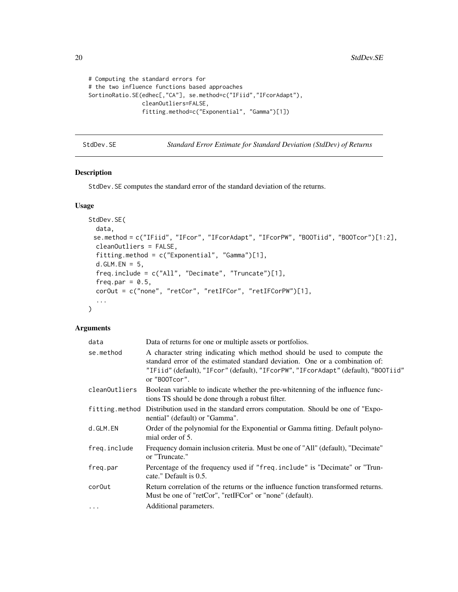```
# Computing the standard errors for
# the two influence functions based approaches
SortinoRatio.SE(edhec[,"CA"], se.method=c("IFiid","IFcorAdapt"),
                cleanOutliers=FALSE,
                fitting.method=c("Exponential", "Gamma")[1])
```
StdDev.SE *Standard Error Estimate for Standard Deviation (StdDev) of Returns*

# Description

StdDev.SE computes the standard error of the standard deviation of the returns.

# Usage

```
StdDev.SE(
  data,
 se.method = c("IFiid", "IFcor", "IFcorAdapt", "IFcorPW", "BOOTiid", "BOOTcor")[1:2],
  cleanOutliers = FALSE,
  fitting.method = c("Exponential", "Gamma")[1],
  d.GLM.EN = 5,
  freq.include = c("All", "Decimate", "Truncate")[1],
  freq.par = 0.5,
  corOut = c("none", "retCor", "retIFCor", "retIFCorPW")[1],
  ...
\mathcal{L}
```

| data          | Data of returns for one or multiple assets or portfolios.                                                                                                                                                                                                       |
|---------------|-----------------------------------------------------------------------------------------------------------------------------------------------------------------------------------------------------------------------------------------------------------------|
| se.method     | A character string indicating which method should be used to compute the<br>standard error of the estimated standard deviation. One or a combination of:<br>"IFiid" (default), "IFcor" (default), "IFcorPW", "IFcorAdapt" (default), "B00Tiid"<br>or "B00Tcor". |
| cleanOutliers | Boolean variable to indicate whether the pre-whitenning of the influence func-<br>tions TS should be done through a robust filter.                                                                                                                              |
|               | fitting method Distribution used in the standard errors computation. Should be one of "Expo-<br>nential" (default) or "Gamma".                                                                                                                                  |
| d.GLM.EN      | Order of the polynomial for the Exponential or Gamma fitting. Default polyno-<br>mial order of 5.                                                                                                                                                               |
| freq.include  | Frequency domain inclusion criteria. Must be one of "All" (default), "Decimate"<br>or "Truncate."                                                                                                                                                               |
| freq.par      | Percentage of the frequency used if "freq.include" is "Decimate" or "Trun-<br>cate." Default is 0.5.                                                                                                                                                            |
| cor0ut        | Return correlation of the returns or the influence function transformed returns.<br>Must be one of "retCor", "retIFCor" or "none" (default).                                                                                                                    |
| $\cdots$      | Additional parameters.                                                                                                                                                                                                                                          |

<span id="page-19-0"></span>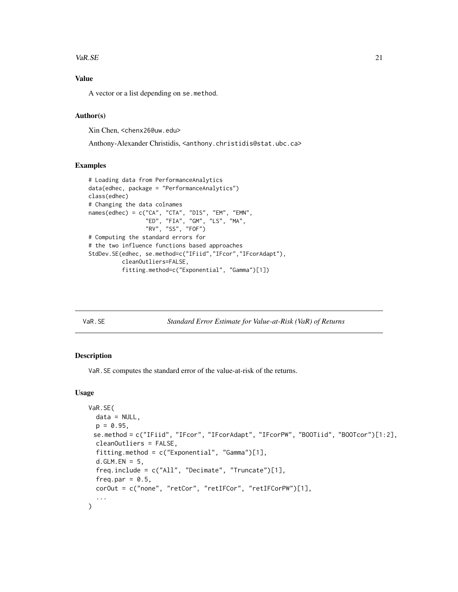#### <span id="page-20-0"></span> $VaR.SE$  21

# Value

A vector or a list depending on se.method.

# Author(s)

Xin Chen, <chenx26@uw.edu>

Anthony-Alexander Christidis, <anthony.christidis@stat.ubc.ca>

#### Examples

```
# Loading data from PerformanceAnalytics
data(edhec, package = "PerformanceAnalytics")
class(edhec)
# Changing the data colnames
names(edhec) = c("CA", "CTA", "DIS", "EM", "EMN",
                 "ED", "FIA", "GM", "LS", "MA",
                 "RV", "SS", "FOF")
# Computing the standard errors for
# the two influence functions based approaches
StdDev.SE(edhec, se.method=c("IFiid","IFcor","IFcorAdapt"),
          cleanOutliers=FALSE,
          fitting.method=c("Exponential", "Gamma")[1])
```
VaR.SE *Standard Error Estimate for Value-at-Risk (VaR) of Returns*

#### Description

VaR.SE computes the standard error of the value-at-risk of the returns.

#### Usage

```
VaR.SE(
  data = NULL,p = 0.95,
 se.method = c("IFiid", "IFcor", "IFcorAdapt", "IFcorPW", "BOOTiid", "BOOTcor")[1:2],
  cleanOutliers = FALSE,
  fitting.method = c("Exponential", "Gamma")[1],
  d.GLM.EN = 5,
  freq.include = c("All", "Decimate", "Truncate")[1],
  freq.par = 0.5,
  corOut = c("none", "retCor", "retIFCor", "retIFCorPW")[1],
  ...
)
```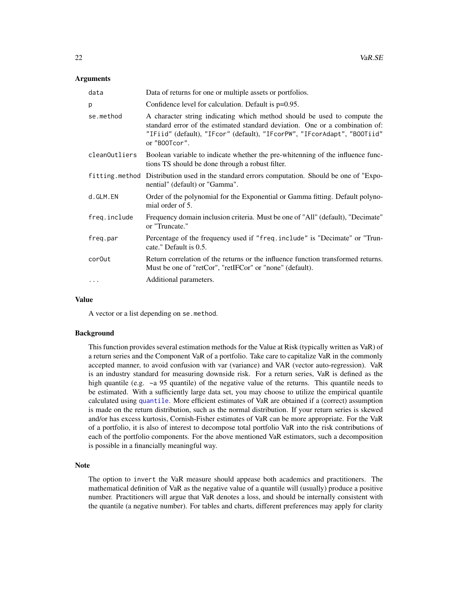#### <span id="page-21-0"></span>Arguments

| data          | Data of returns for one or multiple assets or portfolios.                                                                                                                                                                                             |
|---------------|-------------------------------------------------------------------------------------------------------------------------------------------------------------------------------------------------------------------------------------------------------|
| p             | Confidence level for calculation. Default is $p=0.95$ .                                                                                                                                                                                               |
| se.method     | A character string indicating which method should be used to compute the<br>standard error of the estimated standard deviation. One or a combination of:<br>"IFiid" (default), "IFcor" (default), "IFcorPW", "IFcorAdapt", "BOOTiid"<br>or "B00Tcor". |
| cleanOutliers | Boolean variable to indicate whether the pre-whitenning of the influence func-<br>tions TS should be done through a robust filter.                                                                                                                    |
|               | fitting method Distribution used in the standard errors computation. Should be one of "Expo-<br>nential" (default) or "Gamma".                                                                                                                        |
| d.GLM.EN      | Order of the polynomial for the Exponential or Gamma fitting. Default polyno-<br>mial order of 5.                                                                                                                                                     |
| freq.include  | Frequency domain inclusion criteria. Must be one of "All" (default), "Decimate"<br>or "Truncate."                                                                                                                                                     |
| freq.par      | Percentage of the frequency used if "freq.include" is "Decimate" or "Trun-<br>cate." Default is 0.5.                                                                                                                                                  |
| cor0ut        | Return correlation of the returns or the influence function transformed returns.<br>Must be one of "retCor", "retIFCor" or "none" (default).                                                                                                          |
| $\ddots$ .    | Additional parameters.                                                                                                                                                                                                                                |

#### Value

A vector or a list depending on se.method.

#### Background

This function provides several estimation methods for the Value at Risk (typically written as VaR) of a return series and the Component VaR of a portfolio. Take care to capitalize VaR in the commonly accepted manner, to avoid confusion with var (variance) and VAR (vector auto-regression). VaR is an industry standard for measuring downside risk. For a return series, VaR is defined as the high quantile (e.g.  $\sim$  a 95 quantile) of the negative value of the returns. This quantile needs to be estimated. With a sufficiently large data set, you may choose to utilize the empirical quantile calculated using [quantile](#page-0-0). More efficient estimates of VaR are obtained if a (correct) assumption is made on the return distribution, such as the normal distribution. If your return series is skewed and/or has excess kurtosis, Cornish-Fisher estimates of VaR can be more appropriate. For the VaR of a portfolio, it is also of interest to decompose total portfolio VaR into the risk contributions of each of the portfolio components. For the above mentioned VaR estimators, such a decomposition is possible in a financially meaningful way.

#### Note

The option to invert the VaR measure should appease both academics and practitioners. The mathematical definition of VaR as the negative value of a quantile will (usually) produce a positive number. Practitioners will argue that VaR denotes a loss, and should be internally consistent with the quantile (a negative number). For tables and charts, different preferences may apply for clarity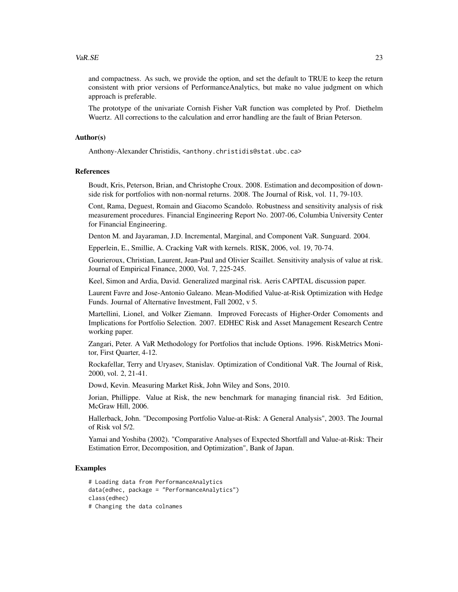and compactness. As such, we provide the option, and set the default to TRUE to keep the return consistent with prior versions of PerformanceAnalytics, but make no value judgment on which approach is preferable.

The prototype of the univariate Cornish Fisher VaR function was completed by Prof. Diethelm Wuertz. All corrections to the calculation and error handling are the fault of Brian Peterson.

#### Author(s)

Anthony-Alexander Christidis, <anthony.christidis@stat.ubc.ca>

#### References

Boudt, Kris, Peterson, Brian, and Christophe Croux. 2008. Estimation and decomposition of downside risk for portfolios with non-normal returns. 2008. The Journal of Risk, vol. 11, 79-103.

Cont, Rama, Deguest, Romain and Giacomo Scandolo. Robustness and sensitivity analysis of risk measurement procedures. Financial Engineering Report No. 2007-06, Columbia University Center for Financial Engineering.

Denton M. and Jayaraman, J.D. Incremental, Marginal, and Component VaR. Sunguard. 2004.

Epperlein, E., Smillie, A. Cracking VaR with kernels. RISK, 2006, vol. 19, 70-74.

Gourieroux, Christian, Laurent, Jean-Paul and Olivier Scaillet. Sensitivity analysis of value at risk. Journal of Empirical Finance, 2000, Vol. 7, 225-245.

Keel, Simon and Ardia, David. Generalized marginal risk. Aeris CAPITAL discussion paper.

Laurent Favre and Jose-Antonio Galeano. Mean-Modified Value-at-Risk Optimization with Hedge Funds. Journal of Alternative Investment, Fall 2002, v 5.

Martellini, Lionel, and Volker Ziemann. Improved Forecasts of Higher-Order Comoments and Implications for Portfolio Selection. 2007. EDHEC Risk and Asset Management Research Centre working paper.

Zangari, Peter. A VaR Methodology for Portfolios that include Options. 1996. RiskMetrics Monitor, First Quarter, 4-12.

Rockafellar, Terry and Uryasev, Stanislav. Optimization of Conditional VaR. The Journal of Risk, 2000, vol. 2, 21-41.

Dowd, Kevin. Measuring Market Risk, John Wiley and Sons, 2010.

Jorian, Phillippe. Value at Risk, the new benchmark for managing financial risk. 3rd Edition, McGraw Hill, 2006.

Hallerback, John. "Decomposing Portfolio Value-at-Risk: A General Analysis", 2003. The Journal of Risk vol 5/2.

Yamai and Yoshiba (2002). "Comparative Analyses of Expected Shortfall and Value-at-Risk: Their Estimation Error, Decomposition, and Optimization", Bank of Japan.

```
# Loading data from PerformanceAnalytics
data(edhec, package = "PerformanceAnalytics")
class(edhec)
# Changing the data colnames
```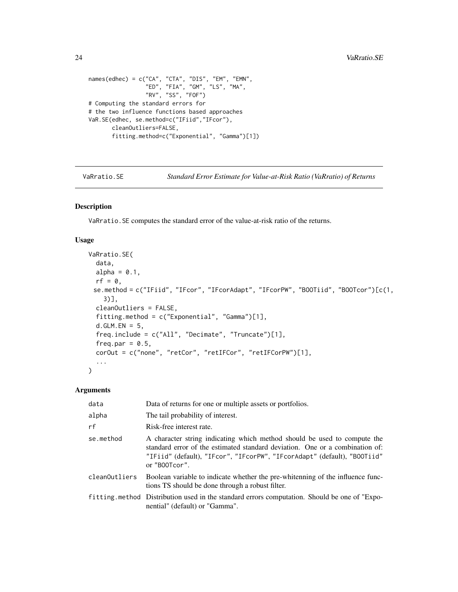```
names(edhec) = c("CA", "CTA", "DIS", "EM", "EMN",
                 "ED", "FIA", "GM", "LS", "MA",
                 "RV", "SS", "FOF")
# Computing the standard errors for
# the two influence functions based approaches
VaR.SE(edhec, se.method=c("IFiid","IFcor"),
       cleanOutliers=FALSE,
       fitting.method=c("Exponential", "Gamma")[1])
```
VaRratio.SE *Standard Error Estimate for Value-at-Risk Ratio (VaRratio) of Returns*

#### Description

VaRratio.SE computes the standard error of the value-at-risk ratio of the returns.

#### Usage

```
VaRratio.SE(
  data,
 alpha = 0.1,
 rf = 0,
 se.method = c("IFiid", "IFcor", "IFcorAdapt", "IFcorPW", "BOOTiid", "BOOTcor")[c(1,
    3)],
  cleanOutliers = FALSE,
  fitting.method = c("Exponential", "Gamma")[1],
  d.GLM.EN = 5,
  freq.include = c("All", "Decimate", "Truncate")[1],
  freq.par = 0.5,
  corOut = c("none", "retCor", "retIFCor", "retIFCorPW")[1],
  ...
)
```

| data          | Data of returns for one or multiple assets or portfolios.                                                                                                                                                                                             |
|---------------|-------------------------------------------------------------------------------------------------------------------------------------------------------------------------------------------------------------------------------------------------------|
| alpha         | The tail probability of interest.                                                                                                                                                                                                                     |
| rf            | Risk-free interest rate.                                                                                                                                                                                                                              |
| se.method     | A character string indicating which method should be used to compute the<br>standard error of the estimated standard deviation. One or a combination of:<br>"IFiid" (default), "IFcor", "IFcorPW", "IFcorAdapt" (default), "BOOTiid"<br>or "B00Tcor". |
| cleanOutliers | Boolean variable to indicate whether the pre-whitenning of the influence func-<br>tions TS should be done through a robust filter.                                                                                                                    |
|               | fitting method Distribution used in the standard errors computation. Should be one of "Expo-<br>nential" (default) or "Gamma".                                                                                                                        |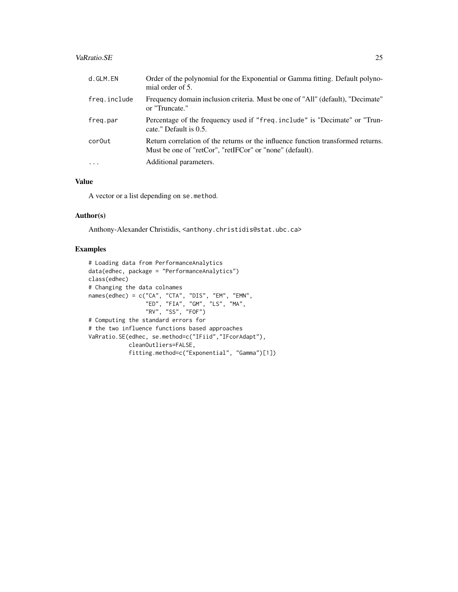# VaRratio.SE 25

| d.GLM.EN     | Order of the polynomial for the Exponential or Gamma fitting. Default polyno-<br>mial order of 5.                                            |
|--------------|----------------------------------------------------------------------------------------------------------------------------------------------|
| freq.include | Frequency domain inclusion criteria. Must be one of "All" (default), "Decimate"<br>or "Truncate."                                            |
| freg.par     | Percentage of the frequency used if "freq.include" is "Decimate" or "Trun-<br>cate." Default is 0.5.                                         |
| corOut       | Return correlation of the returns or the influence function transformed returns.<br>Must be one of "retCor", "retIFCor" or "none" (default). |
| $\cdot$      | Additional parameters.                                                                                                                       |

# Value

A vector or a list depending on se.method.

# Author(s)

Anthony-Alexander Christidis, <anthony.christidis@stat.ubc.ca>

```
# Loading data from PerformanceAnalytics
data(edhec, package = "PerformanceAnalytics")
class(edhec)
# Changing the data colnames
names(edhec) = c("CA", "CTA", "DIS", "EM", "EMN",
                 "ED", "FIA", "GM", "LS", "MA",
                 "RV", "SS", "FOF")
# Computing the standard errors for
# the two influence functions based approaches
VaRratio.SE(edhec, se.method=c("IFiid","IFcorAdapt"),
            cleanOutliers=FALSE,
            fitting.method=c("Exponential", "Gamma")[1])
```